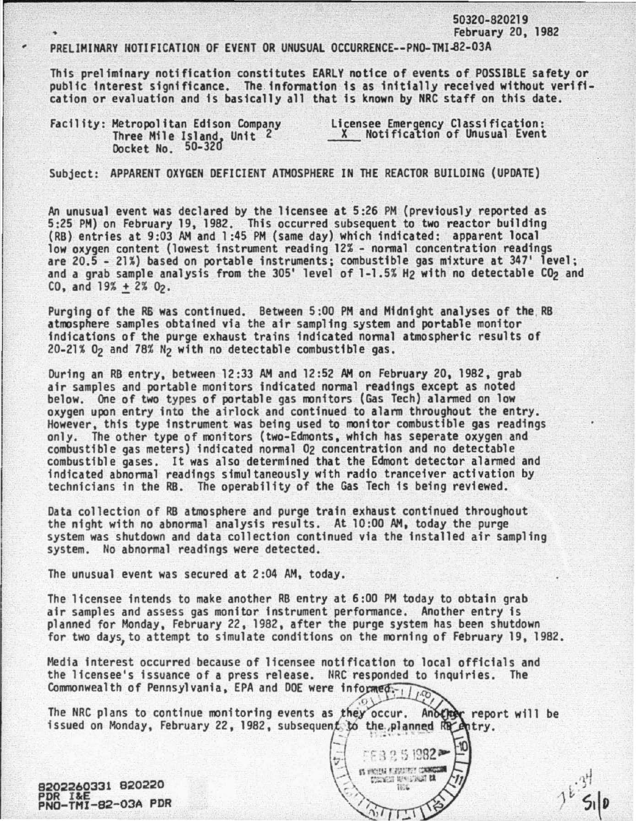50320-820219 February 20, 1982

## PRELIMINARY NOTIFICATION OF EVENT OR UNUSUAL OCCURRENCE--PNO-TMI-82-03A

This preliminary notification constitutes EARLY notice of events of POSSIBLE safety or public interest significance. The. information is as initially received without verification or evaluation and is basically all that is known by NRC staff on this date.

|  |                                                                                         | Licensee Emergency Classification:<br>X Notification of Unusual Event |  |  |  |
|--|-----------------------------------------------------------------------------------------|-----------------------------------------------------------------------|--|--|--|
|  | Facility: Metropolitan Edison Company<br>Three Mile Island, Unit 2<br>Docket No. 50-320 |                                                                       |  |  |  |

Subject: APPARENT OXYGEN DEFICIENT ATMOSPHERE IN THE REACTOR BUILDING {UPDATE)

An unusual event was declared by the licensee at 5:26 PH {previously reported as (RB) entries at 9:03 AM and 1:45 PM (same day) which indicated: apparent local low oxygen content (lowest instrument reading 12% - normal concentration readings are 20.5 - 21%) based on portable instruments; combustible gas mixture at 347' level; and a grab sample analysis from the 305' level of 1-1.5% H<sub>2</sub> with no detectable CO<sub>2</sub> and  $CO_2$  and  $19\% + 2\%$   $O_2$ .

Purging of the RS was continued. Between 5:00 PH and Midnight analyses of the, RB atmosphere samples obtained via the air sampling system and portable monitor indications of the purge exhaust trains indicated normal atmospheric results of 20-21% *Oz* and 78% *Hz* with no detectable combustible gas.

During an RB entry, between 12 :33 AM and 12:52 AM on February 20, 1982, grab air samples and portable monitors indicated normal readings except as noted below. One of two types of portable gas monitors (Gas Tech) alarmed on low<br>oxygen upon entry into the airlock and continued to alarm throughout the entry. However, this type instrument was being used to monitor combustible gas readings<br>only. The other type of monitors (two-Edmonts, which has seperate oxygen and combustible gas meters) indicated normal 02 concentration and no detectable combustible gases. It was also determined that the Edmont detector alarmed and technicians in the RB. The operability of the Gas Tech is being reviewed.

Data collection of RB atmosphere and purge train exhaust continued throughout the night with no abnormal analysts results. At 10 :00 AM, today the purge system was shutdown and data collection continued via the installed air sampling system. No abnormal readings were detected.

The unusual event was secured at 2:04 AM, today.

The licensee intends to make another RB entry at 6:00 PH today to obtain grab air samples and assess gas monitor instrument performance. Another entry is planned for Monday, February 22, 1982, after the purge system has been shutdown for two days, to attempt to simulate conditions on the morning of February 19, 1982.

Media interest occurred because of licensee notification to local officials and the licensee's issuance of a press release. NRC responded to inquiries. The Commonwealth of Pennsylvania, EPA and DOE were informed.

The NRC plans to continue monitoring events as they occur. Another report will be issued on Monday, February 22, 1982, subsequent to the planned Ra entry.

..,.

 $\Im$ 

 $\frac{1}{\sqrt{2}}$  = F3251982

 $\lambda$   $\sim$   $\frac{1}{100}$ 

 $~\gamma$  -  $~\gamma$ 

 $\exists$  nroutraum

9202260331 920220 PDR I&E<br>PNO-TMI-82-03A PDR